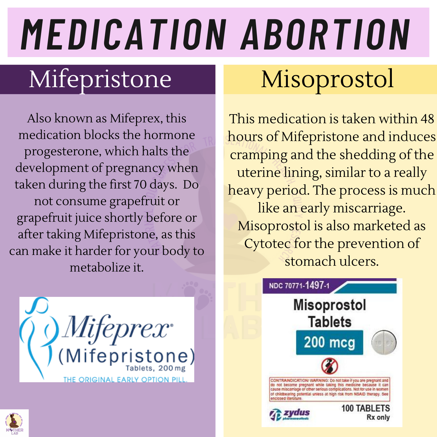# *MEDICATION ABORTION*

### Mifepristone Misoprostol

Also known as Mifeprex, this medication blocks the hormone progesterone, which halts the development of pregnancy when taken during the first 70 days. Do not consume grapefruit or grapefruit juice shortly before or after taking Mifepristone, as this can make it harder for your body to metabolize it.



This medication is taken within 48 hours of Mifepristone and induces cramping and the shedding of the uterine lining, similar to a really heavy period. The process is much like an early miscarriage. Misoprostol is also marketed as Cytotec for the prevention of stomach ulcers.



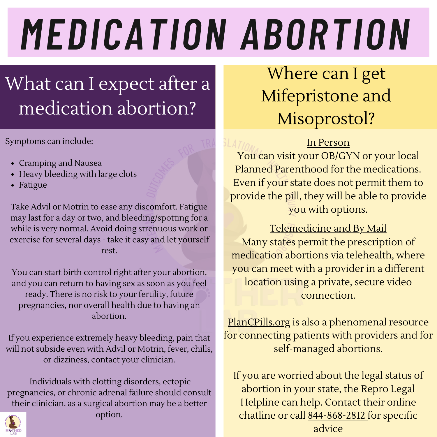# *MEDICATION ABORTION*

### What can I expect after a medication abortion?

Symptoms can include:

- Cramping and Nausea
- Heavy bleeding with large clots
- Fatigue

Take Advil or Motrin to ease any discomfort. Fatigue may last for a day or two, and bleeding/spotting for a while is very normal. Avoid doing strenuous work or exercise for several days - take it easy and let yourself rest.

You can start birth control right after your abortion, and you can return to having sex as soon as you feel ready. There is no risk to your fertility, future pregnancies, nor overall health due to having an abortion.

If you experience extremely heavy bleeding, pain that will not subside even with Advil or Motrin, fever, chills, or dizziness, contact your clinician.

Individuals with clotting disorders, ectopic pregnancies, or chronic adrenal failure should consult their clinician, as a surgical abortion may be a better



option.

### Where can I get Mifepristone and Misoprostol?

#### In Person

You can visit your OB/GYN or your local Planned Parenthood for the medications. Even if your state does not permit them to provide the pill, they will be able to provide you with options.

#### Telemedicine and By Mail

Many states permit the prescription of medication abortions via telehealth, where you can meet with a provider in a different location using a private, secure video connection.

PlanCPills.org is also a phenomenal resource for connecting patients with providers and for self-managed abortions.

If you are worried about the legal status of abortion in your state, the Repro Legal Helpline can help. Contact their online chatline or call 844-868-2812 for specific advice